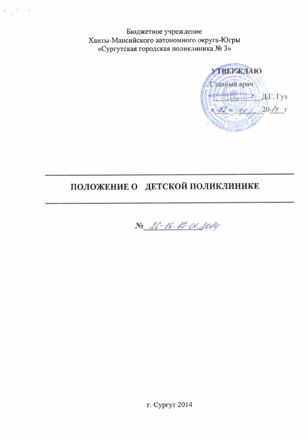Бюджетное учреждение Ханты-Мансийского автономного округа-Югры «Сургутская городская поликлиника № 3»



# ПОЛОЖЕНИЕ О ДЕТСКОЙ ПОЛИКЛИНИКЕ

No 26-16-17-01-2014

г. Сургут 2014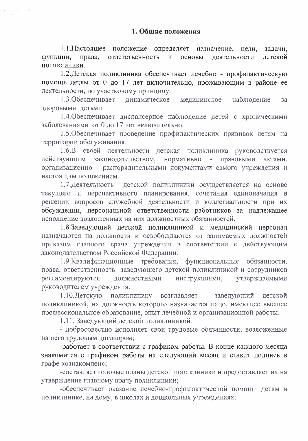1.1. Настоящее положение определяет назначение, цели, задачи. ответственность основы деятельности функции, права.  $\overline{M}$ летской поликлиники.

1.2. Детская поликлиника обеспечивает лечебно - профилактическую помощь детям от 0 до 17 лет включительно, проживающим в районе ее деятельности, по участковому принципу.

1.3. Обеспечивает линамическое медицинское наблюдение  $3a$ здоровыми детьми.

1.4. Обеспечивает диспансерное наблюдение детей с хроническими заболеваниями от 0 до 17 лет включительно.

1.5. Обеспечивает проведение профилактических прививок детям на территории обслуживания.

1.6.В своей деятельности детская поликлиника руководствуется действующим законодательством, нормативно - правовыми актами, организационно - распорядительными документами самого учреждения и настоящим положением.

1.7. Деятельность детской поликлиники осуществляется на основе текущего и перспективного планирования, сочетания единоначалия в решении вопросов служебной деятельности и коллегиальности при их обсуждении, персональной ответственности работников за надлежащее исполнение возложенных на них должностных обязанностей.

1.8.Заведующий детской поликлиникой и медицинский персонал назначаются на должности и освобождаются от занимаемых должностей приказом главного врача учреждения в соответствии с действующим законодательством Российской Федерации.

1.9. Квалификационные требования, функциональные обязанности, права, ответственность заведующего детской поликлиникой и сотрудников регламентируются должностными инструкциями, утверждаемыми руководителем учреждения.

1.10. Детскую поликлинику возглавляет заведующий детской поликлиникой, на должность которого назначается лицо, имеющее высшее профессиональное образование, опыт лечебной и организационной работы.

1.11. Заведующий детской поликлиникой:

- добросовестно исполняет свои трудовые обязанности, возложенные на него трудовым договором;

-работает в соответствии с графиком работы. В конце каждого месяца знакомится с графиком работы на следующий месяц и ставит подпись в графе «ознакомлен»;

-составляет годовые планы детской поликлиники и предоставляет их на утверждение главному врачу поликлиники;

-обеспечивает оказание лечебно-профилактической помощи детям в поликлинике, на дому, в школах и дошкольных учреждениях;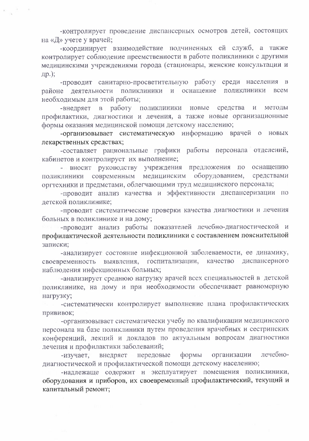-контролирует проведение диспансерных осмотров детей, состоящих на «Д» учете у врачей;

-координирует взаимодействие подчиненных ей служб, а также контролирует соблюдение преемственности в работе поликлиники с другими медицинскими учреждениями города (стационары, женские консультации и др.);

-проводит санитарно-просветительную работу среди населения  $\mathbf{B}$ районе деятельности поликлиники и оснащение ПОЛИКЛИНИКИ **BCCM** необходимым для этой работы;

-внедряет в работу поликлиники новые средства  $\overline{M}$ методы профилактики, диагностики и лечения, а также новые организационные формы оказания медицинской помощи детскому населению;

-организовывает систематическую информацию врачей о новых лекарственных средствах;

-составляет рациональные графики работы персонала отделений, кабинетов и контролирует их выполнение;

- вносит руководству учреждения предложения по оснащению медицинским оборудованием, средствами поликлиники современным оргтехники и предметами, облегчающими труд медицинского персонала;

-проводит анализ качества и эффективности диспансеризации по детской поликлинике;

-проводит систематические проверки качества диагностики и лечения больных в поликлинике и на дому;

-проводит анализ работы показателей лечебно-диагностической и профилактической деятельности поликлиники с составлением пояснительной записки;

-анализирует состояние инфекционной заболеваемости, ее динамику, своевременность выявления, госпитализации, диспансерного качество наблюдения инфекционных больных;

-анализирует среднюю нагрузку врачей всех специальностей в детской поликлинике, на дому и при необходимости обеспечивает равномерную нагрузку;

-систематически контролирует выполнение плана профилактических прививок;

-организовывает систематически учебу по квалификации медицинского персонала на базе поликлиники путем проведения врачебных и сестринских конференций, лекций и докладов по актуальным вопросам диагностики лечения и профилактики заболеваний;

лечебнопередовые формы организации -изучает, внедряет диагностической и профилактической помощи детскому населению;

-надлежаще содержит и эксплуатирует помещения поликлиники, оборудования и приборов, их своевременный профилактический, текущий и капитальный ремонт;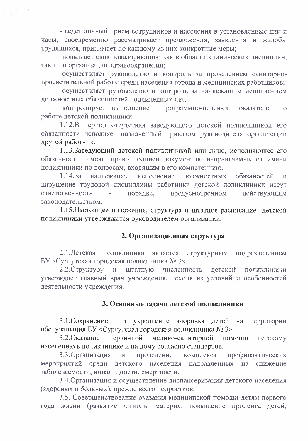- ведёт личный прием сотрудников и населения в установленные дни и часы, своевременно рассматривает предложения, заявления и жалобы трудящихся, принимает по каждому из них конкретные меры;

-повышает свою квалификацию как в области клинических дисциплин. так и по организации здравоохранения;

-осуществляет руководство и контроль за проведением санитарнопросветительной работы среди населения города и медицинских работников;

-осуществляет руководство и контроль за надлежащим исполнением должностных обязанностей подчиненных лиц;

-контролирует выполнение программно-целевых показателей по работе детской поликлиники.

1.12.В период отсутствия заведующего детской поликлиникой его обязанности исполняет назначенный приказом руководителя организации другой работник.

1.13.Заведующий детской поликлиникой или лицо, исполняющее его обязанности, имеют право подписи документов, направляемых от имени поликлиники по вопросам, входящим в его компетенцию.

 $1.14.3a$ надлежащее исполнение должностных обязаностей  $\overline{M}$ нарушение трудовой дисциплины работники детской поликлиники несут ответственность порядке, предусмотренном действующим  $\overline{B}$ законодательством.

1.15. Настоящее положение, структура и штатное расписание детской поликлиники утверждаются руководителем организации.

#### 2. Организационная структура

2.1. Детская поликлиника является структурным подразделением БУ «Сургутская городская поликлиника № 3».

2.2. Структуру и штатную численность детской поликлиники утверждает главный врач учреждения, исходя из условий и особенностей деятельности учреждения.

#### 3. Основные задачи детской поликлиники

3.1. Сохранение  $\mathbf{M}$ укрепление здоровья детей на территории обслуживания БУ «Сургутская городская поликлиника № 3».

3.2. Оказание первичной медико-санитарной помощи детскому населению в поликлинике и на дому согласно стандартов.

3.3. Организация проведение комплекса профилактических  $\overline{\text{M}}$ мероприятий среди детского населения направленных на снижение заболеваемости, инвалидности, смертности.

3.4. Организация и осуществление диспансеризации детского населения (здоровых и больных), прежде всего подростков.

3.5. Совершенствование оказания медицинской помощи детям первого года жизни (развитие «школы матери», повышение процента детей,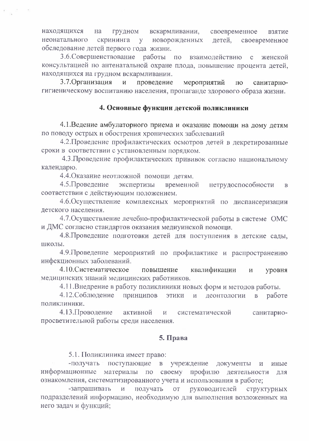грудном вскармливании, находящихся на своевременное взятие скрининга у новорожденных неонатального летей. своевременное обследование детей первого года жизни.

3.6. Совершенствование работы по взаимодействию с женской консультацией по антенатальной охране плода, повышение процента детей, находящихся на грудном вскармливании.

3.7. Организация мероприятий  $\overline{M}$ проведение санитарно- $\Pi$ O гигиеническому воспитанию населения, пропаганде здорового образа жизни.

# 4. Основные функции детской поликлиники

4.1. Ведение амбулаторного приема и оказание помощи на дому детям по поводу острых и обострения хронических заболеваний

4.2. Проведение профилактических осмотров детей в декретированные сроки в соответствии с установленным порядком.

4.3. Проведение профилактических прививок согласно национальному календарю.

4.4. Оказание неотложной помощи детям.

4.5. Проведение экспертизы временной нетрудоспособности  $\, {\bf B}$ соответствии с действующим положением.

4.6. Осуществление комплексных мероприятий по диспансеризации детского населения.

4.7. Осуществление лечебно-профилактической работы в системе ОМС и ДМС согласно стандартов оказания медиуинской помощи.

4.8. Проведение подготовки детей для поступления в детские сады, школы.

4.9. Проведение мероприятий по профилактике и распространению инфекционных заболеваний.

4.10. Систематическое повышение квалификации уровня И медицинских знаний медицинских работников.

4.11. Внедрение в работу поликлиники новых форм и методов работы.

4.12. Соблюдение принципов ЭТИКИ деонтологии  $\overline{B}$ работе  $\overline{\mathbf{M}}$ поликлиники.

4.13. Проводение активной систематической санитарнопросветительной работы среди населения.

## 5. Права

5.1. Поликлиника имеет право:

поступающие -получать  $\mathbf{B}$ учреждение документы иные информационные материалы по своему профилю деятельности для ознакомления, систематизированного учета и использования в работе;

-запрашивать получать руководителей  $\boldsymbol{M}$ OT структурных подразделений информацию, необходимую для выполнения возложенных на него задач и функций;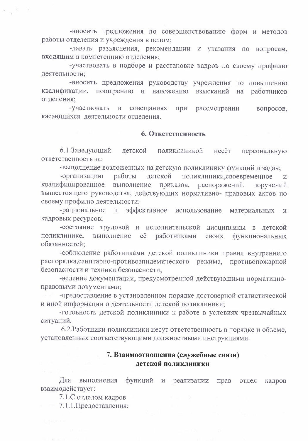-вносить предложения по совершенствованию форм и методов работы отделения и учреждения в целом;

-давать разъяснения, рекомендации и указания по вопросам, входящим в компетенцию отделения;

-участвовать в подборе и расстановке кадров по своему профилю деятельности;

-вносить предложения руководству учреждения по повышению квалификации, поощрению и наложению взысканий на работников отделения;

-участвовать совещаниях  $\, {\bf B} \,$ при рассмотрении вопросов, касающихся деятельности отделения.

#### 6. Ответственность

6.1.Заведующий детской поликлиникой несёт персональную ответственность за:

-выполнение возложенных на детскую поликлинику функций и задач;

-организацию работы детской поликлиники, своевременное  $\overline{\mathbf{M}}$ квалифицированное выполнение приказов, распоряжений, поручений вышестоящего руководства, действующих нормативно- правовых актов по своему профилю деятельности;

эффективное использование -рациональное  $\mathbf{M}$ материальных  $\mathbf{M}$ кадровых ресурсов;

-состояние трудовой и исполнительской дисциплины в детской поликлинике, выполнение работниками eë своих функциональных обязанностей:

-соблюдение работниками детской поликлиники правил внутреннего распорядка, санитарно-противоэпидемического режима, противопожарной безопасности и техники безопасности;

-ведение документации, предусмотренной действующими нормативноправовыми документами;

-предоставление в установленном порядке достоверной статистической и иной информации о деятельности детской поликлиники;

-готовность детской поликлиники к работе в условиях чрезвычайных ситуаций.

6.2. Работники поликлиники несут ответственность в порядке и объеме, установленных соответствующими должностными инструкциями.

## 7. Взаимоотношения (служебные связи) детской поликлиники

Для выполнения функций прав  $M$ реализации отдел кадров взаимодействует:

7.1.С отделом кадров

7.1.1. Предоставления: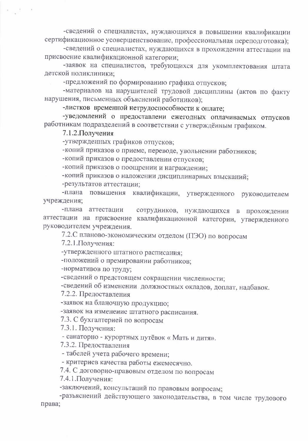-сведений о специалистах, нуждающихся в повышении квалификации сертификационное усовершенствование, профессиональная переподготовка);

-сведений о специалистах, нуждающихся в прохождении аттестации на присвоение квалификационной категории;

-заявок на специалистов, требующихся для укомплектования штата детской поликлиники:

-предложений по формированию графика отпусков;

-материалов на нарушителей трудовой дисциплины (актов по факту нарушения, письменных объяснений работников):

-листков временной нетрудоспособности к оплате;

-уведомлений о предоставлени ежегодных оплачиваемых отпусков работникам подразделений в соответствии с утверждённым графиком.

7.1.2. Получения

-утвержденных графиков отпусков;

-копий приказов о приеме, переводе, увольнении работников;

-копий приказов о предоставлении отпусков;

-копий приказов о поощрении и награждении;

-копий приказов о наложении дисциплинарных взысканий;

-результатов аттестации;

квалификации, утвержденного руководителем -плана повышения учреждения;

-плана аттестации сотрудников, нуждающихся в прохождении аттестации на присвоение квалификационной категории, утвержденного руководителем учреждения.

7.2.С планово-экономическим отделом (ПЭО) по вопросам

7.2.1. Получения:

-утвержденного штатного расписания;

-положений о премировании работников;

-нормативов по труду;

-сведений о предстоящем сокращении численности;

-сведений об изменении должностных окладов, доплат, надбавок.

7.2.2. Предоставления

-заявок на бланочную продукцию;

-заявок на изменение штатного расписания.

7.3. С бухгалтерией по вопросам

7.3.1. Получения:

- санаторно - курортных путёвок «Мать и дитя».

7.3.2. Предоставления

- табелей учета рабочего времени;

- критериев качества работы ежемесячно.

7.4. С договорно-правовым отделом по вопросам

7.4.1. Получения:

-заключений, консультаций по правовым вопросам;

-разъяснений действующего законодательства, в том числе трудового права;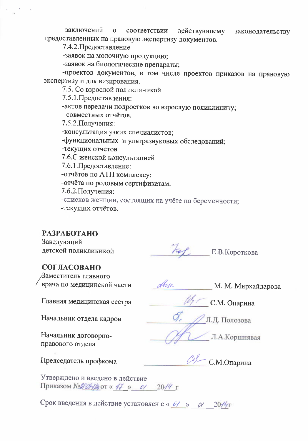-заключений  $\mathbf{o}$ соответствии действующему законодательству предоставленных на правовую экспертизу документов.

7.4.2. Предоставление

-заявок на молочную продукцию;

-заявок на биологические препараты;

-проектов документов, в том числе проектов приказов на правовую экспертизу и для визирования.

7.5. Со взрослой поликлиникой

7.5.1. Предоставления:

-актов передачи подростков во взрослую поликлинику;

- совместных отчётов.

7.5.2. Получения:

-консультация узких специалистов;

-функциональных и ультразвуковых обследований;

-текущих отчетов

7.6.С женской консультацией

7.6.1. Предоставление:

-отчётов по АТП комплексу;

-отчёта по родовым сертификатам.

7.6.2. Получения:

-списков женщин, состоящих на учёте по беременности; -текущих отчётов.

**РАЗРАБОТАНО** 

Заведующий детской поликлиникой

For E.B. KOPOTKOBa

### СОГЛАСОВАНО

Заместитель главного врача по медицинской части

Arre М. М. Мирхайдарова

С.М. Опарина

Л.А.Коршнявая

Л.Д. Полозова

Главная медицинская сестра

Начальник отдела кадров

Начальник договорноправового отдела

Председатель профкома

 $\mathcal{C}$ / С.М.Опарина

Утверждено и введено в действие Приказом № № № 31 14 от « 47 » с/ 2014 г

Срок введения в действие установлен с « 0/ » 0/ 2014 г